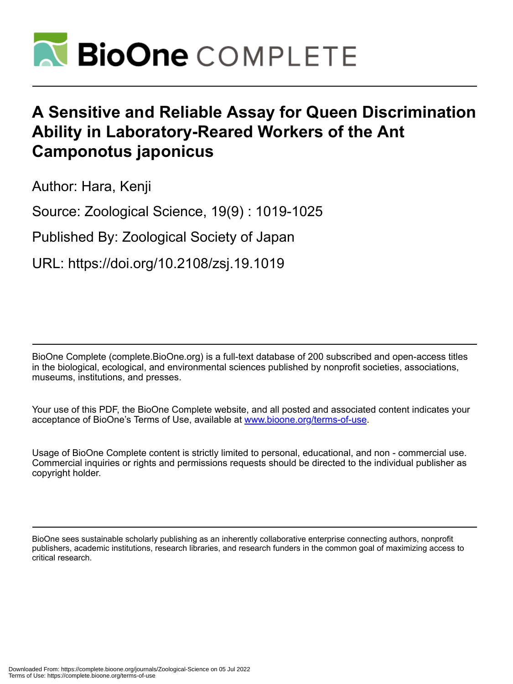

# **A Sensitive and Reliable Assay for Queen Discrimination Ability in Laboratory-Reared Workers of the Ant Camponotus japonicus**

Author: Hara, Kenji

Source: Zoological Science, 19(9) : 1019-1025

Published By: Zoological Society of Japan

URL: https://doi.org/10.2108/zsj.19.1019

BioOne Complete (complete.BioOne.org) is a full-text database of 200 subscribed and open-access titles in the biological, ecological, and environmental sciences published by nonprofit societies, associations, museums, institutions, and presses.

Your use of this PDF, the BioOne Complete website, and all posted and associated content indicates your acceptance of BioOne's Terms of Use, available at www.bioone.org/terms-of-use.

Usage of BioOne Complete content is strictly limited to personal, educational, and non - commercial use. Commercial inquiries or rights and permissions requests should be directed to the individual publisher as copyright holder.

BioOne sees sustainable scholarly publishing as an inherently collaborative enterprise connecting authors, nonprofit publishers, academic institutions, research libraries, and research funders in the common goal of maximizing access to critical research.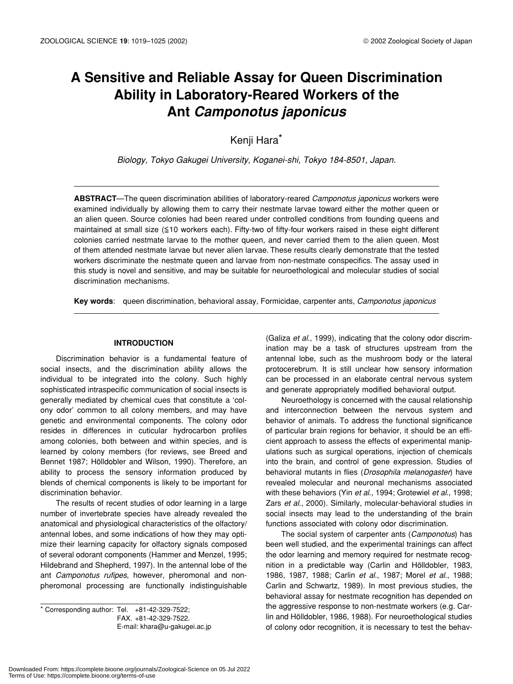## **A Sensitive and Reliable Assay for Queen Discrimination Ability in Laboratory-Reared Workers of the Ant** *Camponotus japonicus*

Kenji Hara\*

*Biology, Tokyo Gakugei University, Koganei-shi, Tokyo 184-8501, Japan.*

**ABSTRACT**—The queen discrimination abilities of laboratory-reared *Camponotus japonicus* workers were examined individually by allowing them to carry their nestmate larvae toward either the mother queen or an alien queen. Source colonies had been reared under controlled conditions from founding queens and maintained at small size (≤10 workers each). Fifty-two of fifty-four workers raised in these eight different colonies carried nestmate larvae to the mother queen, and never carried them to the alien queen. Most of them attended nestmate larvae but never alien larvae. These results clearly demonstrate that the tested workers discriminate the nestmate queen and larvae from non-nestmate conspecifics. The assay used in this study is novel and sensitive, and may be suitable for neuroethological and molecular studies of social discrimination mechanisms.

**Key words**: queen discrimination, behavioral assay, Formicidae, carpenter ants, *Camponotus japonicus*

## **INTRODUCTION**

Discrimination behavior is a fundamental feature of social insects, and the discrimination ability allows the individual to be integrated into the colony. Such highly sophisticated intraspecific communication of social insects is generally mediated by chemical cues that constitute a 'colony odor' common to all colony members, and may have genetic and environmental components. The colony odor resides in differences in cuticular hydrocarbon profiles among colonies, both between and within species, and is learned by colony members (for reviews, see Breed and Bennet 1987; Hölldobler and Wilson, 1990). Therefore, an ability to process the sensory information produced by blends of chemical components is likely to be important for discrimination behavior.

The results of recent studies of odor learning in a large number of invertebrate species have already revealed the anatomical and physiological characteristics of the olfactory/ antennal lobes, and some indications of how they may optimize their learning capacity for olfactory signals composed of several odorant components (Hammer and Menzel, 1995; Hildebrand and Shepherd, 1997). In the antennal lobe of the ant *Camponotus rufipes*, however, pheromonal and nonpheromonal processing are functionally indistinguishable

 $*$  Corresponding author: Tel.  $+81-42-329-7522$ ; FAX. +81-42-329-7522. E-mail: khara@u-gakugei.ac.jp

(Galiza *et al*., 1999), indicating that the colony odor discrimination may be a task of structures upstream from the antennal lobe, such as the mushroom body or the lateral protocerebrum. It is still unclear how sensory information can be processed in an elaborate central nervous system and generate appropriately modified behavioral output.

Neuroethology is concerned with the causal relationship and interconnection between the nervous system and behavior of animals. To address the functional significance of particular brain regions for behavior, it should be an efficient approach to assess the effects of experimental manipulations such as surgical operations, injection of chemicals into the brain, and control of gene expression. Studies of behavioral mutants in flies (*Drosophila melanogaster*) have revealed molecular and neuronal mechanisms associated with these behaviors (Yin *et al*., 1994; Grotewiel *et al*., 1998; Zars *et al*., 2000). Similarly, molecular-behavioral studies in social insects may lead to the understanding of the brain functions associated with colony odor discrimination.

The social system of carpenter ants (*Camponotus*) has been well studied, and the experimental trainings can affect the odor learning and memory required for nestmate recognition in a predictable way (Carlin and Hölldobler, 1983, 1986, 1987, 1988; Carlin *et al*., 1987; Morel *et al*., 1988; Carlin and Schwartz, 1989). In most previous studies, the behavioral assay for nestmate recognition has depended on the aggressive response to non-nestmate workers (e.g. Carlin and Hölldobler, 1986, 1988). For neuroethological studies of colony odor recognition, it is necessary to test the behav-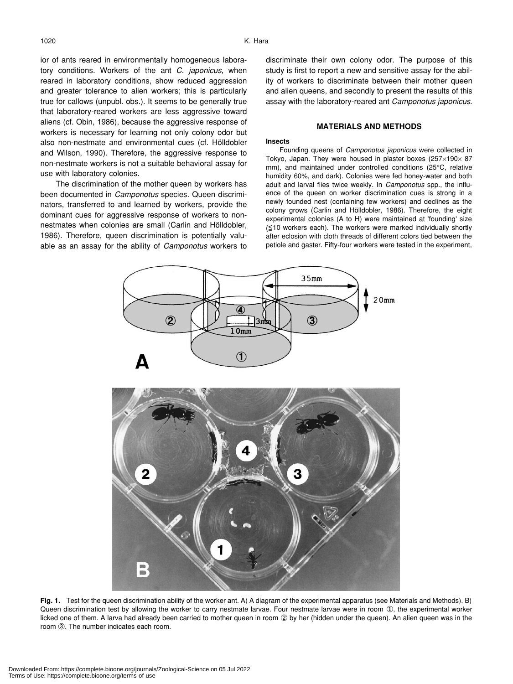ior of ants reared in environmentally homogeneous laboratory conditions. Workers of the ant *C. japonicus*, when reared in laboratory conditions, show reduced aggression and greater tolerance to alien workers; this is particularly true for callows (unpubl. obs.). It seems to be generally true that laboratory-reared workers are less aggressive toward aliens (cf. Obin, 1986), because the aggressive response of workers is necessary for learning not only colony odor but also non-nestmate and environmental cues (cf. Hölldobler and Wilson, 1990). Therefore, the aggressive response to non-nestmate workers is not a suitable behavioral assay for use with laboratory colonies.

The discrimination of the mother queen by workers has been documented in *Camponotus* species. Queen discriminators, transferred to and learned by workers, provide the dominant cues for aggressive response of workers to nonnestmates when colonies are small (Carlin and Hölldobler, 1986). Therefore, queen discrimination is potentially valuable as an assay for the ability of *Camponotus* workers to

discriminate their own colony odor. The purpose of this study is first to report a new and sensitive assay for the ability of workers to discriminate between their mother queen and alien queens, and secondly to present the results of this assay with the laboratory-reared ant *Camponotus japonicus*.

## **MATERIALS AND METHODS**

#### **Insects**

Founding queens of *Camponotus japonicus* were collected in Tokyo, Japan. They were housed in plaster boxes  $(257\times190\times87)$ mm), and maintained under controlled conditions (25°C, relative humidity 60%, and dark). Colonies were fed honey-water and both adult and larval flies twice weekly. In *Camponotus* spp., the influence of the queen on worker discrimination cues is strong in a newly founded nest (containing few workers) and declines as the colony grows (Carlin and Hölldobler, 1986). Therefore, the eight experimental colonies (A to H) were maintained at 'founding' size  $(\leq 10$  workers each). The workers were marked individually shortly after eclosion with cloth threads of different colors tied between the petiole and gaster. Fifty-four workers were tested in the experiment,



**Fig. 1.** Test for the queen discrimination ability of the worker ant. A) A diagram of the experimental apparatus (see Materials and Methods). B) Queen discrimination test by allowing the worker to carry nestmate larvae. Four nestmate larvae were in room ①, the experimental worker licked one of them. A larva had already been carried to mother queen in room ② by her (hidden under the queen). An alien queen was in the room ➂. The number indicates each room.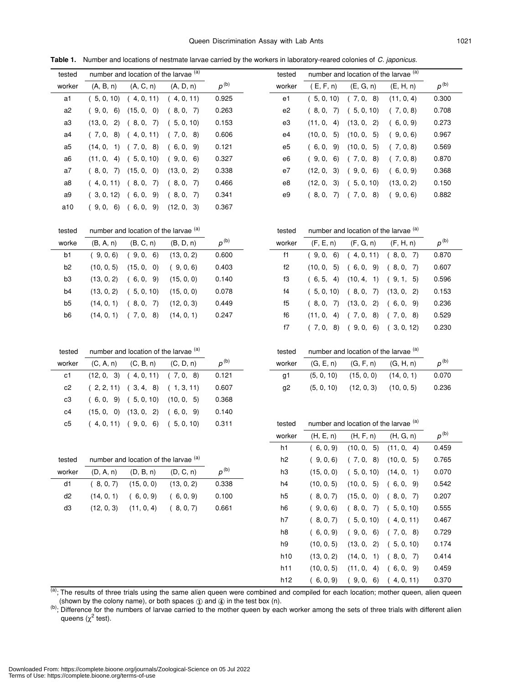| tested         |              | number and location of the larvae (a) |            |           | tested |              | number and location of the larvae (a) |            |           |
|----------------|--------------|---------------------------------------|------------|-----------|--------|--------------|---------------------------------------|------------|-----------|
| worker         | (A, B, n)    | (A, C, n)                             | (A, D, n)  | $p^{(b)}$ | worker | (E, F, n)    | (E, G, n)                             | (E, H, n)  | $p^{(b)}$ |
| a1             | (5, 0, 10)   | (4, 0, 11)                            | (4, 0, 11) | 0.925     | e1     | (5, 0, 10)   | (7, 0, 8)                             | (11, 0, 4) | 0.300     |
| a <sub>2</sub> | (9,0,6)      | (15, 0, 0)                            | (8, 0, 7)  | 0.263     | e2     | (8, 0, 7)    | (5, 0, 10)                            | (7, 0, 8)  | 0.708     |
| a3             | (13, 0, 2)   | (8, 0, 7)                             | (5, 0, 10) | 0.153     | e3     | (11, 0, 4)   | (13, 0, 2)                            | (6, 0, 9)  | 0.273     |
| a4             |              | $(7, 0, 8)$ $(4, 0, 11)$              | (7, 0, 8)  | 0.606     | e4     | (10, 0, 5)   | (10, 0, 5)                            | (9, 0, 6)  | 0.967     |
| a5             |              | $(14, 0, 1)$ $(7, 0, 8)$              | (6, 0, 9)  | 0.121     | e5     | (6, 0, 9)    | (10, 0, 5)                            | (7, 0, 8)  | 0.569     |
| a6             |              | $(11, 0, 4)$ $(5, 0, 10)$             | (9, 0, 6)  | 0.327     | e6     | (9, 0,<br>6) | (7, 0, 8)                             | (7, 0, 8)  | 0.870     |
| a7             | (8, 0, 7)    | (15, 0, 0)                            | (13, 0, 2) | 0.338     | e7     | (12, 0, 3)   | (9, 0, 6)                             | (6, 0, 9)  | 0.368     |
| a8             | (4, 0, 11)   | (8, 0, 7)                             | (8, 0, 7)  | 0.466     | e8     | (12, 0, 3)   | (5, 0, 10)                            | (13, 0, 2) | 0.150     |
| a9             | (3, 0, 12)   | (6, 0, 9)                             | (8, 0, 7)  | 0.341     | e9     | (8, 0, 7)    | (7, 0, 8)                             | (9, 0, 6)  | 0.882     |
| a10            | (9, 0,<br>6) | (6, 0, 9)                             | (12, 0, 3) | 0.367     |        |              |                                       |            |           |

**Table 1.** Number and locations of nestmate larvae carried by the workers in laboratory-reared colonies of *C. japonicus*.

| tested | number and location of the larvae (a) | tested | number and location of the larvae (a) |
|--------|---------------------------------------|--------|---------------------------------------|
|--------|---------------------------------------|--------|---------------------------------------|

| worke          | (B, A, n)  | (B, C, n)     | (B, D, n)  | $p^{(b)}$ | worker         | (F, E, n)            | (F, G, n)  | (F, H, n)      | $p^{(b)}$ |
|----------------|------------|---------------|------------|-----------|----------------|----------------------|------------|----------------|-----------|
| b <sub>1</sub> | (9, 0, 6)  | 9, 0,<br>- 6) | (13, 0, 2) | 0.600     | f1             | (9,0,6)              | 4, 0, 11)  | 8. 0.<br>- 7)  | 0.87      |
| b <sub>2</sub> | (10, 0, 5) | (15, 0, 0)    | (9, 0, 6)  | 0.403     | f2             | (10, 0, 5)           | (6, 0, 9)  | (8, 0,<br>- 7) | 0.60      |
| b <sub>3</sub> | (13, 0, 2) | (6, 0, 9)     | (15, 0, 0) | 0.140     | fЗ             | (6, 5, 4)            | (10, 4, 1) | (9, 1, 5)      | 0.59      |
| b <sub>4</sub> | (13, 0, 2) | (5, 0, 10)    | (15, 0, 0) | 0.078     | f4             | 5, 0, 10)            | (8, 0, 7)  | (13, 0, 2)     | 0.15      |
| b <sub>5</sub> | (14, 0, 1) | - 7)<br>8, 0, | (12, 0, 3) | 0.449     | f <sub>5</sub> | <sup>7</sup><br>8.0. | (13, 0, 2) | (6, 0, 9)      | 0.23      |
| b6             | (14, 0, 1) | 8)<br>(7, 0,  | (14, 0, 1) | 0.247     | f6             | 4)<br>(11, 0,        | (7, 0, 8)  | - 8)<br>7.0.   | 0.52      |
|                |            |               |            |           |                |                      |            |                |           |

tested number and location of the larvae  $(a)$  tested number and location of the larvae  $(a)$ 

| worker | $(C, A, n)$ $(C, B, n)$ $(C, D, n)$   | $D^{(D)}$ |
|--------|---------------------------------------|-----------|
| c1.    | $(12, 0, 3)$ $(4, 0, 11)$ $(7, 0, 8)$ | 0.121     |
| c2     | $(2, 2, 11)$ $(3, 4, 8)$ $(1, 3, 11)$ | 0.607     |
| c3     | $(6, 0, 9)$ $(5, 0, 10)$ $(10, 0, 5)$ | 0.368     |
| c4     | $(15, 0, 0)$ $(13, 0, 2)$ $(6, 0, 9)$ | 0.140     |
| c5     | $(4, 0, 11)$ $(9, 0, 6)$ $(5, 0, 10)$ | 0.311     |

| worker | (E, F, n)  | (E, G, n)                 | (E, H, n)  | $p^{(0)}$ |
|--------|------------|---------------------------|------------|-----------|
| e1     | (5, 0, 10) | (7, 0, 8)                 | (11, 0, 4) | 0.300     |
| e2     | (8, 0, 7)  | (5, 0, 10)                | (7, 0, 8)  | 0.708     |
| e3     |            | $(11, 0, 4)$ $(13, 0, 2)$ | (6, 0, 9)  | 0.273     |
| e4     | (10, 0, 5) | (10, 0, 5)                | (9, 0, 6)  | 0.967     |
| e5     |            | $(6, 0, 9)$ $(10, 0, 5)$  | (7, 0, 8)  | 0.569     |
| e6     |            | $(9, 0, 6)$ $(7, 0, 8)$   | (7, 0, 8)  | 0.870     |
| e7     |            | $(12, 0, 3)$ $(9, 0, 6)$  | (6, 0, 9)  | 0.368     |
| e8     |            | $(12, 0, 3)$ $(5, 0, 10)$ | (13, 0, 2) | 0.150     |
| e9     | (8, 0, 7)  | (7, 0, 8)                 | (9, 0, 6)  | 0.882     |

| sted | number and location of the larvae (a) |                           |            |           |  | tested         |            | number and location of the larvae (a) |            |           |
|------|---------------------------------------|---------------------------|------------|-----------|--|----------------|------------|---------------------------------------|------------|-----------|
| orke | (B, A, n)                             | (B, C, n)                 | (B, D, n)  | $p^{(b)}$ |  | worker         | (F, E, n)  | (F, G, n)                             | (F, H, n)  | $p^{(b)}$ |
| b1   | (9, 0, 6)                             | (9, 0, 6)                 | (13, 0, 2) | 0.600     |  | f1             | (9,0,6)    | (4, 0, 11)                            | (8, 0, 7)  | 0.870     |
| b2   | (10, 0, 5)                            | (15, 0, 0)                | (9, 0, 6)  | 0.403     |  | f2             | (10, 0, 5) | (6, 0, 9)                             | (8, 0, 7)  | 0.607     |
| bЗ   | (13, 0, 2)                            | (6, 0, 9)                 | (15, 0, 0) | 0.140     |  | fЗ             | (6, 5, 4)  | $(10, 4, 1)$ $(9, 1, 5)$              |            | 0.596     |
| b4   |                                       | $(13, 0, 2)$ $(5, 0, 10)$ | (15, 0, 0) | 0.078     |  | f <sub>4</sub> | (5, 0, 10) | (8, 0, 7)                             | (13, 0, 2) | 0.153     |
| b5   | (14, 0, 1)                            | (8, 0, 7)                 | (12, 0, 3) | 0.449     |  | f5             | (8, 0, 7)  | $(13, 0, 2)$ $(6, 0, 9)$              |            | 0.236     |
| b6   |                                       | $(14, 0, 1)$ $(7, 0, 8)$  | (14, 0, 1) | 0.247     |  | f6             | (11, 0, 4) | (7, 0, 8)                             | (7, 0, 8)  | 0.529     |
|      |                                       |                           |            |           |  | f7             | (7, 0, 8)  | (9,0,6)                               | (3, 0, 12) | 0.230     |

| ested |  | number and location of the larvae (a) |  |  |  |
|-------|--|---------------------------------------|--|--|--|
|       |  |                                       |  |  |  |

| worker | $(C, A, n)$ $(C, B, n)$ $(C, D, n)$ |                                                | $n^{(b)}$ | worker | $(G, E, n)$ $(G, F, n)$ $(G, H, n)$ |                                        |                                        | $p^{(b)}$ |
|--------|-------------------------------------|------------------------------------------------|-----------|--------|-------------------------------------|----------------------------------------|----------------------------------------|-----------|
| c1 .   |                                     | $(12, 0, 3)$ $(4, 0, 11)$ $(7, 0, 8)$ 0.121    |           |        |                                     |                                        | $(5, 0, 10)$ $(15, 0, 0)$ $(14, 0, 1)$ | 0.070     |
|        |                                     | c2 $(2, 2, 11)$ $(3, 4, 8)$ $(1, 3, 11)$ 0.607 |           | q2     |                                     | $(5, 0, 10)$ $(12, 0, 3)$ $(10, 0, 5)$ |                                        | 0.236     |

tested number and location of the larvae  $(a)$ 

|        |            |                                       |            |           | worker         | (H, E, n)  | (H, F, n)                    | (H, G, n)  | $p^{(b)}$ |
|--------|------------|---------------------------------------|------------|-----------|----------------|------------|------------------------------|------------|-----------|
|        |            |                                       |            |           | h1             | (6, 0, 9)  | 5)<br>(10, 0,                | (11, 0, 4) | 0.459     |
| tested |            | number and location of the larvae (a) |            |           | h <sub>2</sub> | (9, 0, 6)  | (7, 0,<br>8)                 | (10, 0, 5) | 0.765     |
| worker | (D, A, n)  | (D, B, n)                             | (D, C, n)  | $p^{(b)}$ | h3             | (15, 0, 0) | (5, 0, 10)                   | (14, 0, 1) | 0.070     |
| d1     | (8, 0, 7)  | (15, 0, 0)                            | (13, 0, 2) | 0.338     | h4             | (10, 0, 5) | (10, 0, 5)                   | (6, 0, 9)  | 0.542     |
| d2     | (14, 0, 1) | (6, 0, 9)                             | (6, 0, 9)  | 0.100     | h5             | (8, 0, 7)  | (15, 0,<br>$\vert 0 \rangle$ | (8, 0, 7)  | 0.207     |
| d3     | (12, 0, 3) | (11, 0, 4)                            | (8, 0, 7)  | 0.661     | h6             | (9, 0, 6)  | (8, 0, 7)                    | (5, 0, 10) | 0.555     |
|        |            |                                       |            |           | h7             | (8, 0, 7)  | (5, 0, 10)                   | 4, 0, 11)  | 0.467     |
|        |            |                                       |            |           | h8             | (6, 0, 9)  | (9,0, 6)                     | (7, 0, 8)  | 0.729     |
|        |            |                                       |            |           | h9             | (10, 0, 5) | (13, 0, 2)                   | (5, 0, 10) | 0.174     |
|        |            |                                       |            |           | h10            | (13, 0, 2) | (14, 0, 1)                   | (8, 0, 7)  | 0.414     |
|        |            |                                       |            |           | h11            | (10, 0, 5) | (11, 0,<br>4)                | (6, 0, 9)  | 0.459     |
|        |            |                                       |            |           | h12            | (6, 0, 9)  | (9, 0,<br>6)                 | (4, 0, 11) | 0.370     |

(a); The results of three trials using the same alien queen were combined and compiled for each location; mother queen, alien queen (shown by the colony name), or both spaces  $\textcircled{1}$  and  $\textcircled{4}$  in the test box (n).

(b); Difference for the numbers of larvae carried to the mother queen by each worker among the sets of three trials with different alien queens ( $\chi^2$  test).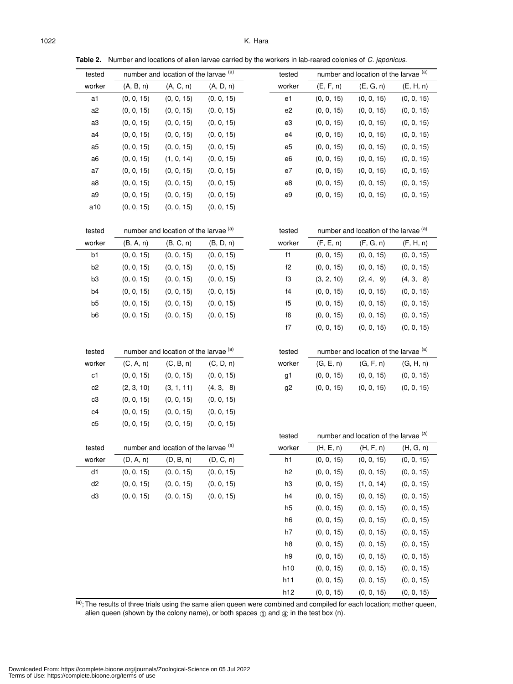tested number and location of the larvae (a) tested number and location of the larvae (a) worker (A, B, n) (A, C, n) (A, D, n) worker (E, F, n) (E, G, n) (E, H, n)

| a1     | (0, 0, 15) | (0, 0, 15)                                       | (0, 0, 15) | e1             | (0, 0, 15) | (0, 0, 15)                            | (0, 0, 15) |
|--------|------------|--------------------------------------------------|------------|----------------|------------|---------------------------------------|------------|
| a2     | (0, 0, 15) | (0, 0, 15)                                       | (0, 0, 15) | e <sub>2</sub> | (0, 0, 15) | (0, 0, 15)                            | (0, 0, 15) |
| a3     | (0, 0, 15) | (0, 0, 15)                                       | (0, 0, 15) | e3             | (0, 0, 15) | (0, 0, 15)                            | (0, 0, 15) |
| a4     | (0, 0, 15) | (0, 0, 15)                                       | (0, 0, 15) | e4             | (0, 0, 15) | (0, 0, 15)                            | (0, 0, 15) |
| a5     | (0, 0, 15) | (0, 0, 15)                                       | (0, 0, 15) | e5             | (0, 0, 15) | (0, 0, 15)                            | (0, 0, 15) |
| a6     | (0, 0, 15) | (1, 0, 14)                                       | (0, 0, 15) | e6             | (0, 0, 15) | (0, 0, 15)                            | (0, 0, 15) |
| a7     | (0, 0, 15) | (0, 0, 15)                                       | (0, 0, 15) | e7             | (0, 0, 15) | (0, 0, 15)                            | (0, 0, 15) |
| a8     | (0, 0, 15) | (0, 0, 15)                                       | (0, 0, 15) | e8             | (0, 0, 15) | (0, 0, 15)                            | (0, 0, 15) |
| a9     | (0, 0, 15) | (0, 0, 15)                                       | (0, 0, 15) | e9             | (0, 0, 15) | (0, 0, 15)                            | (0, 0, 15) |
| a10    | (0, 0, 15) | (0, 0, 15)                                       | (0, 0, 15) |                |            |                                       |            |
|        |            |                                                  |            |                |            |                                       |            |
| tested |            | number and location of the larvae (a)            |            | tested         |            | number and location of the larvae (a) |            |
| worker | (B, A, n)  | (B, C, n)                                        | (B, D, n)  | worker         | (F, E, n)  | (F, G, n)                             | (F, H, n)  |
| b1     | (0, 0, 15) | (0, 0, 15)                                       | (0, 0, 15) | f1             | (0, 0, 15) | (0, 0, 15)                            | (0, 0, 15) |
| b2     | (0, 0, 15) | (0, 0, 15)                                       | (0, 0, 15) | f2             | (0, 0, 15) | (0, 0, 15)                            | (0, 0, 15) |
| b3     | (0, 0, 15) | (0, 0, 15)                                       | (0, 0, 15) | f3             | (3, 2, 10) | (2, 4, 9)                             | (4, 3, 8)  |
| b4     | (0, 0, 15) | (0, 0, 15)                                       | (0, 0, 15) | f4             | (0, 0, 15) | (0, 0, 15)                            | (0, 0, 15) |
| b5     | (0, 0, 15) | (0, 0, 15)                                       | (0, 0, 15) | f5             | (0, 0, 15) | (0, 0, 15)                            | (0, 0, 15) |
| b6     | (0, 0, 15) | (0, 0, 15)                                       | (0, 0, 15) | f6             | (0, 0, 15) | (0, 0, 15)                            | (0, 0, 15) |
|        |            |                                                  |            | f7             | (0, 0, 15) | (0, 0, 15)                            | (0, 0, 15) |
|        |            |                                                  |            |                |            |                                       |            |
| tested |            | number and location of the larvae (a)            |            | tested         |            | number and location of the larvae (a) |            |
| worker | (C, A, n)  | (C, B, n)                                        | (C, D, n)  | worker         | (G, E, n)  | (G, F, n)                             | (G, H, n)  |
| c1     | (0, 0, 15) | (0, 0, 15)                                       | (0, 0, 15) | g1             | (0, 0, 15) | (0, 0, 15)                            | (0, 0, 15) |
| c2     | (2, 3, 10) | (3, 1, 11)                                       | (4, 3, 8)  | g2             | (0, 0, 15) | (0, 0, 15)                            | (0, 0, 15) |
| c3     | (0, 0, 15) | (0, 0, 15)                                       | (0, 0, 15) |                |            |                                       |            |
| c4     | (0, 0, 15) | (0, 0, 15)                                       | (0, 0, 15) |                |            |                                       |            |
| c5     | (0, 0, 15) | (0, 0, 15)                                       | (0, 0, 15) |                |            |                                       |            |
|        |            |                                                  |            | tested         |            | number and location of the larvae (a) |            |
| tested |            | number and location of the larvae <sup>(a)</sup> |            | worker         | (H, E, n)  | (H, F, n)                             | (H, G, n)  |
| worker | (D, A, n)  | (D, B, n)                                        | (D, C, n)  | h1             | (0, 0, 15) | (0, 0, 15)                            | (0, 0, 15) |
| d1     | (0, 0, 15) | (0, 0, 15)                                       | (0, 0, 15) | h <sub>2</sub> | (0, 0, 15) | (0, 0, 15)                            | (0, 0, 15) |
| d2     |            |                                                  |            | hЗ             |            |                                       |            |
| d3     | (0, 0, 15) | (0, 0, 15)                                       | (0, 0, 15) |                | (0, 0, 15) | (1, 0, 14)                            | (0, 0, 15) |
|        | (0, 0, 15) | (0, 0, 15)                                       | (0, 0, 15) | h4             | (0, 0, 15) | (0, 0, 15)                            | (0, 0, 15) |
|        |            |                                                  |            | h <sub>5</sub> | (0, 0, 15) | (0, 0, 15)                            | (0, 0, 15) |
|        |            |                                                  |            | h <sub>6</sub> | (0, 0, 15) | (0, 0, 15)                            | (0, 0, 15) |
|        |            |                                                  |            | h7             | (0, 0, 15) | (0, 0, 15)                            | (0, 0, 15) |
|        |            |                                                  |            | h8             | (0, 0, 15) | (0, 0, 15)                            | (0, 0, 15) |
|        |            |                                                  |            | h9             | (0, 0, 15) | (0, 0, 15)                            | (0, 0, 15) |
|        |            |                                                  |            | h10            | (0, 0, 15) | (0, 0, 15)                            | (0, 0, 15) |
|        |            |                                                  |            | h11            | (0, 0, 15) | (0, 0, 15)                            | (0, 0, 15) |

**Table 2.** Number and locations of alien larvae carried by the workers in lab-reared colonies of *C. japonicus*.

 $\overline{a}$ ; The results of three trials using the same alien queen were combined and compiled for each location; mother queen, alien queen (shown by the colony name), or both spaces  $\textcircled{1}$  and  $\textcircled{4}$  in the test box (n).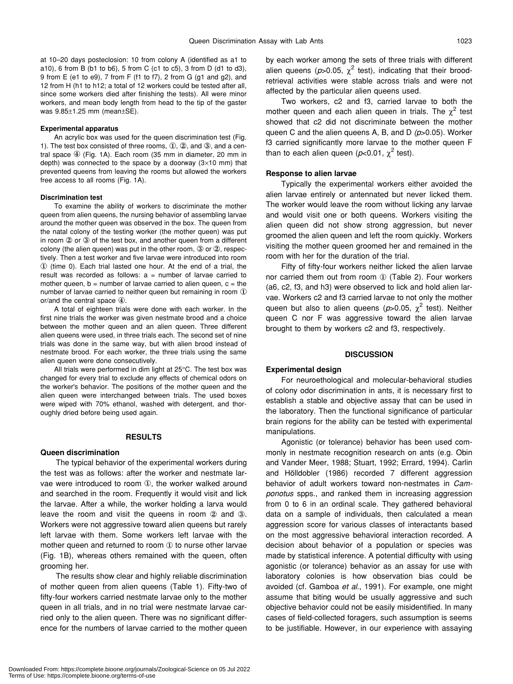at 10–20 days posteclosion: 10 from colony A (identified as a1 to a10), 6 from B (b1 to b6), 5 from C (c1 to c5), 3 from D (d1 to d3), 9 from E (e1 to e9), 7 from F (f1 to f7), 2 from G (g1 and g2), and 12 from H (h1 to h12; a total of 12 workers could be tested after all, since some workers died after finishing the tests). All were minor workers, and mean body length from head to the tip of the gaster was 9.85±1.25 mm (mean±SE).

#### **Experimental apparatus**

An acrylic box was used for the queen discrimination test (Fig. 1). The test box consisted of three rooms, ①, ②, and ③, and a central space ④ (Fig. 1A). Each room (35 mm in diameter, 20 mm in depth) was connected to the space by a doorway  $(3\times10$  mm) that prevented queens from leaving the rooms but allowed the workers free access to all rooms (Fig. 1A).

#### **Discrimination test**

To examine the ability of workers to discriminate the mother queen from alien queens, the nursing behavior of assembling larvae around the mother queen was observed in the box. The queen from the natal colony of the testing worker (the mother queen) was put in room ② or ③ of the test box, and another queen from a different colony (the alien queen) was put in the other room, ③ or ②, respectively. Then a test worker and five larvae were introduced into room ① (time 0). Each trial lasted one hour. At the end of a trial, the result was recorded as follows:  $a =$  number of larvae carried to mother queen,  $b =$  number of larvae carried to alien queen,  $c =$  the number of larvae carried to neither queen but remaining in room ① or/and the central space ④.

A total of eighteen trials were done with each worker. In the first nine trials the worker was given nestmate brood and a choice between the mother queen and an alien queen. Three different alien queens were used, in three trials each. The second set of nine trials was done in the same way, but with alien brood instead of nestmate brood. For each worker, the three trials using the same alien queen were done consecutively.

All trials were performed in dim light at 25°C. The test box was changed for every trial to exclude any effects of chemical odors on the worker's behavior. The positions of the mother queen and the alien queen were interchanged between trials. The used boxes were wiped with 70% ethanol, washed with detergent, and thoroughly dried before being used again.

#### **RESULTS**

#### **Queen discrimination**

The typical behavior of the experimental workers during the test was as follows: after the worker and nestmate larvae were introduced to room ①, the worker walked around and searched in the room. Frequently it would visit and lick the larvae. After a while, the worker holding a larva would leave the room and visit the queens in room ② and ③. Workers were not aggressive toward alien queens but rarely left larvae with them. Some workers left larvae with the mother queen and returned to room ① to nurse other larvae (Fig. 1B), whereas others remained with the queen, often grooming her.

The results show clear and highly reliable discrimination of mother queen from alien queens (Table 1). Fifty-two of fifty-four workers carried nestmate larvae only to the mother queen in all trials, and in no trial were nestmate larvae carried only to the alien queen. There was no significant difference for the numbers of larvae carried to the mother queen by each worker among the sets of three trials with different alien queens ( $p$ >0.05,  $\chi^2$  test), indicating that their broodretrieval activities were stable across trials and were not affected by the particular alien queens used.

Two workers, c2 and f3, carried larvae to both the mother queen and each alien queen in trials. The  $\chi^2$  test showed that c2 did not discriminate between the mother queen C and the alien queens A, B, and D *(p*>0.05). Worker f3 carried significantly more larvae to the mother queen F than to each alien queen ( $p$ <0.01,  $\chi^2$  test).

#### **Response to alien larvae**

Typically the experimental workers either avoided the alien larvae entirely or antennated but never licked them. The worker would leave the room without licking any larvae and would visit one or both queens. Workers visiting the alien queen did not show strong aggression, but never groomed the alien queen and left the room quickly. Workers visiting the mother queen groomed her and remained in the room with her for the duration of the trial.

Fifty of fifty-four workers neither licked the alien larvae nor carried them out from room ① (Table 2). Four workers (a6, c2, f3, and h3) were observed to lick and hold alien larvae. Workers c2 and f3 carried larvae to not only the mother queen but also to alien queens ( $p$ >0.05,  $\chi^2$  test). Neither queen C nor F was aggressive toward the alien larvae brought to them by workers c2 and f3, respectively.

## **DISCUSSION**

### **Experimental design**

For neuroethological and molecular-behavioral studies of colony odor discrimination in ants, it is necessary first to establish a stable and objective assay that can be used in the laboratory. Then the functional significance of particular brain regions for the ability can be tested with experimental manipulations.

Agonistic (or tolerance) behavior has been used commonly in nestmate recognition research on ants (e.g. Obin and Vander Meer, 1988; Stuart, 1992; Errard, 1994). Carlin and Hölldobler (1986) recorded 7 different aggression behavior of adult workers toward non-nestmates in *Camponotus* spps., and ranked them in increasing aggression from 0 to 6 in an ordinal scale. They gathered behavioral data on a sample of individuals, then calculated a mean aggression score for various classes of interactants based on the most aggressive behavioral interaction recorded. A decision about behavior of a population or species was made by statistical inference. A potential difficulty with using agonistic (or tolerance) behavior as an assay for use with laboratory colonies is how observation bias could be avoided (cf. Gamboa *et al*., 1991). For example, one might assume that biting would be usually aggressive and such objective behavior could not be easily misidentified. In many cases of field-collected foragers, such assumption is seems to be justifiable. However, in our experience with assaying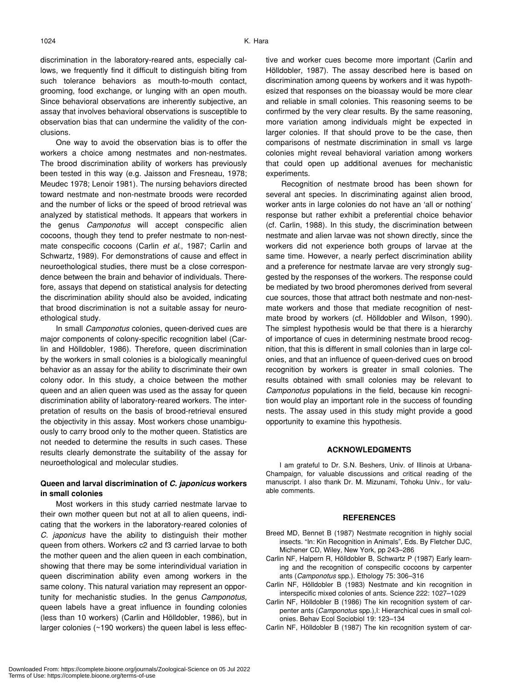discrimination in the laboratory-reared ants, especially callows, we frequently find it difficult to distinguish biting from such tolerance behaviors as mouth-to-mouth contact, grooming, food exchange, or lunging with an open mouth. Since behavioral observations are inherently subjective, an assay that involves behavioral observations is susceptible to observation bias that can undermine the validity of the conclusions.

One way to avoid the observation bias is to offer the workers a choice among nestmates and non-nestmates. The brood discrimination ability of workers has previously been tested in this way (e.g. Jaisson and Fresneau, 1978; Meudec 1978; Lenoir 1981). The nursing behaviors directed toward nestmate and non-nestmate broods were recorded and the number of licks or the speed of brood retrieval was analyzed by statistical methods. It appears that workers in the genus *Camponotus* will accept conspecific alien cocoons, though they tend to prefer nestmate to non-nestmate conspecific cocoons (Carlin *et al*., 1987; Carlin and Schwartz, 1989). For demonstrations of cause and effect in neuroethological studies, there must be a close correspondence between the brain and behavior of individuals. Therefore, assays that depend on statistical analysis for detecting the discrimination ability should also be avoided, indicating that brood discrimination is not a suitable assay for neuroethological study.

In small *Camponotus* colonies, queen-derived cues are major components of colony-specific recognition label (Carlin and Hölldobler, 1986). Therefore, queen discrimination by the workers in small colonies is a biologically meaningful behavior as an assay for the ability to discriminate their own colony odor. In this study, a choice between the mother queen and an alien queen was used as the assay for queen discrimination ability of laboratory-reared workers. The interpretation of results on the basis of brood-retrieval ensured the objectivity in this assay. Most workers chose unambiguously to carry brood only to the mother queen. Statistics are not needed to determine the results in such cases. These results clearly demonstrate the suitability of the assay for neuroethological and molecular studies.

## **Queen and larval discrimination of** *C. japonicus* **workers in small colonies**

Most workers in this study carried nestmate larvae to their own mother queen but not at all to alien queens, indicating that the workers in the laboratory-reared colonies of *C. japonicus* have the ability to distinguish their mother queen from others. Workers c2 and f3 carried larvae to both the mother queen and the alien queen in each combination, showing that there may be some interindividual variation in queen discrimination ability even among workers in the same colony. This natural variation may represent an opportunity for mechanistic studies. In the genus *Camponotus,* queen labels have a great influence in founding colonies (less than 10 workers) (Carlin and Hölldobler, 1986), but in larger colonies (~190 workers) the queen label is less effective and worker cues become more important (Carlin and Hölldobler, 1987). The assay described here is based on discrimination among queens by workers and it was hypothesized that responses on the bioassay would be more clear and reliable in small colonies. This reasoning seems to be confirmed by the very clear results. By the same reasoning, more variation among individuals might be expected in larger colonies. If that should prove to be the case, then comparisons of nestmate discrimination in small vs large colonies might reveal behavioral variation among workers that could open up additional avenues for mechanistic experiments.

Recognition of nestmate brood has been shown for several ant species. In discriminating against alien brood, worker ants in large colonies do not have an 'all or nothing' response but rather exhibit a preferential choice behavior (cf. Carlin, 1988). In this study, the discrimination between nestmate and alien larvae was not shown directly, since the workers did not experience both groups of larvae at the same time. However, a nearly perfect discrimination ability and a preference for nestmate larvae are very strongly suggested by the responses of the workers. The response could be mediated by two brood pheromones derived from several cue sources, those that attract both nestmate and non-nestmate workers and those that mediate recognition of nestmate brood by workers (cf. Hölldobler and Wilson, 1990). The simplest hypothesis would be that there is a hierarchy of importance of cues in determining nestmate brood recognition, that this is different in small colonies than in large colonies, and that an influence of queen-derived cues on brood recognition by workers is greater in small colonies. The results obtained with small colonies may be relevant to *Camponotus* populations in the field, because kin recognition would play an important role in the success of founding nests. The assay used in this study might provide a good opportunity to examine this hypothesis.

## **ACKNOWLEDGMENTS**

I am grateful to Dr. S.N. Beshers, Univ. of Illinois at Urbana-Champaign, for valuable discussions and critical reading of the manuscript. I also thank Dr. M. Mizunami, Tohoku Univ., for valuable comments.

## **REFERENCES**

- Breed MD, Bennet B (1987) Nestmate recognition in highly social insects. "In: Kin Recognition in Animals", Eds. By Fletcher DJC, Michener CD, Wiley, New York, pp 243–286
- Carlin NF, Halpern R, Hölldobler B, Schwartz P (1987) Early learning and the recognition of conspecific cocoons by carpenter ants (*Camponotus* spp.). Ethology 75: 306–316
- Carlin NF, Hölldobler B (1983) Nestmate and kin recognition in interspecific mixed colonies of ants. Science 222: 1027–1029
- Carlin NF, Hölldobler B (1986) The kin recognition system of carpenter ants (*Camponotus* spp.),I: Hierarchical cues in small colonies. Behav Ecol Sociobiol 19: 123–134
- Carlin NF, Hölldobler B (1987) The kin recognition system of car-